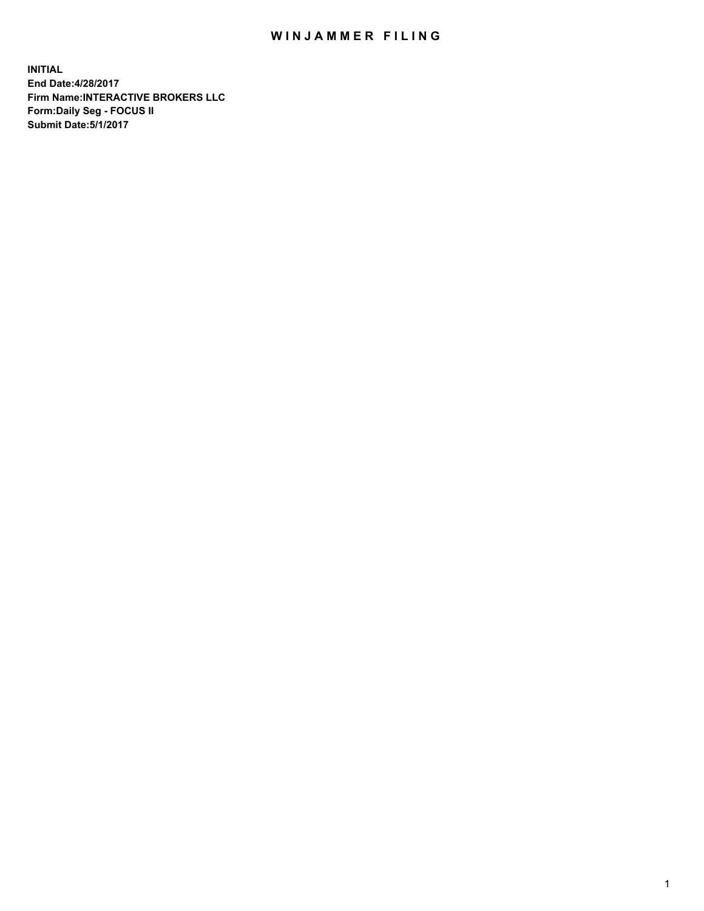## WIN JAMMER FILING

**INITIAL End Date:4/28/2017 Firm Name:INTERACTIVE BROKERS LLC Form:Daily Seg - FOCUS II Submit Date:5/1/2017**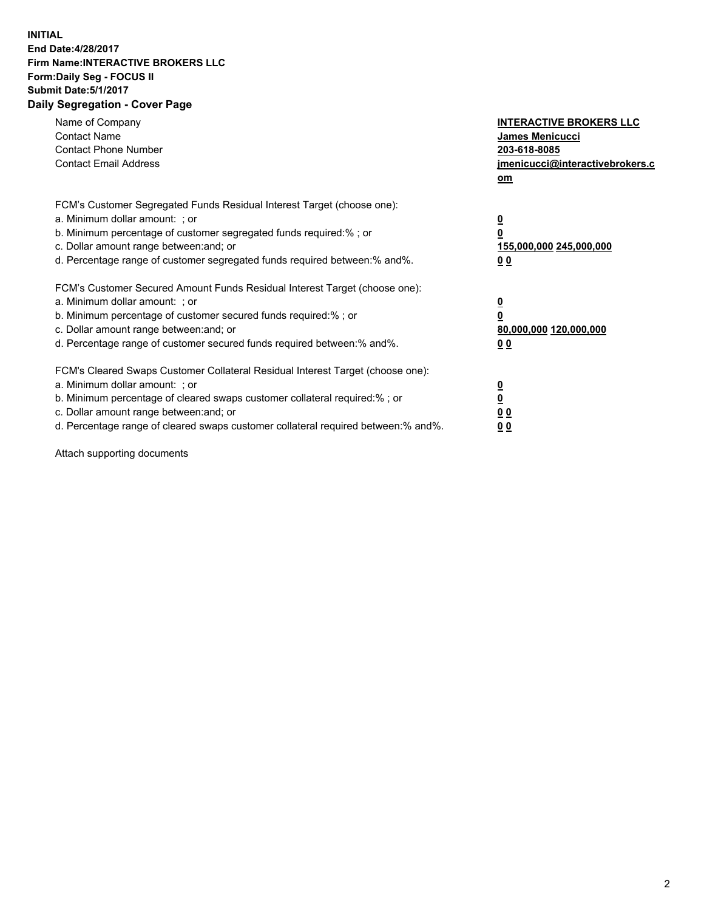## **INITIAL End Date:4/28/2017 Firm Name:INTERACTIVE BROKERS LLC Form:Daily Seg - FOCUS II Submit Date:5/1/2017 Daily Segregation - Cover Page**

| Name of Company<br><b>Contact Name</b><br><b>Contact Phone Number</b><br><b>Contact Email Address</b>                                                                                                                                                                                                                          | <b>INTERACTIVE BROKERS LLC</b><br><b>James Menicucci</b><br>203-618-8085<br>jmenicucci@interactivebrokers.c<br>om |
|--------------------------------------------------------------------------------------------------------------------------------------------------------------------------------------------------------------------------------------------------------------------------------------------------------------------------------|-------------------------------------------------------------------------------------------------------------------|
| FCM's Customer Segregated Funds Residual Interest Target (choose one):<br>a. Minimum dollar amount: ; or<br>b. Minimum percentage of customer segregated funds required:%; or<br>c. Dollar amount range between: and; or<br>d. Percentage range of customer segregated funds required between:% and%.                          | $\overline{\mathbf{0}}$<br>0<br>155,000,000 245,000,000<br>0 <sub>0</sub>                                         |
| FCM's Customer Secured Amount Funds Residual Interest Target (choose one):<br>a. Minimum dollar amount: ; or<br>b. Minimum percentage of customer secured funds required:%; or<br>c. Dollar amount range between: and; or<br>d. Percentage range of customer secured funds required between: % and %.                          | $\overline{\mathbf{0}}$<br>0<br>80,000,000 120,000,000<br>0 <sub>0</sub>                                          |
| FCM's Cleared Swaps Customer Collateral Residual Interest Target (choose one):<br>a. Minimum dollar amount: ; or<br>b. Minimum percentage of cleared swaps customer collateral required:% ; or<br>c. Dollar amount range between: and; or<br>d. Percentage range of cleared swaps customer collateral required between:% and%. | $\overline{\mathbf{0}}$<br>$\overline{\mathbf{0}}$<br>0 <sub>0</sub><br><u>00</u>                                 |

Attach supporting documents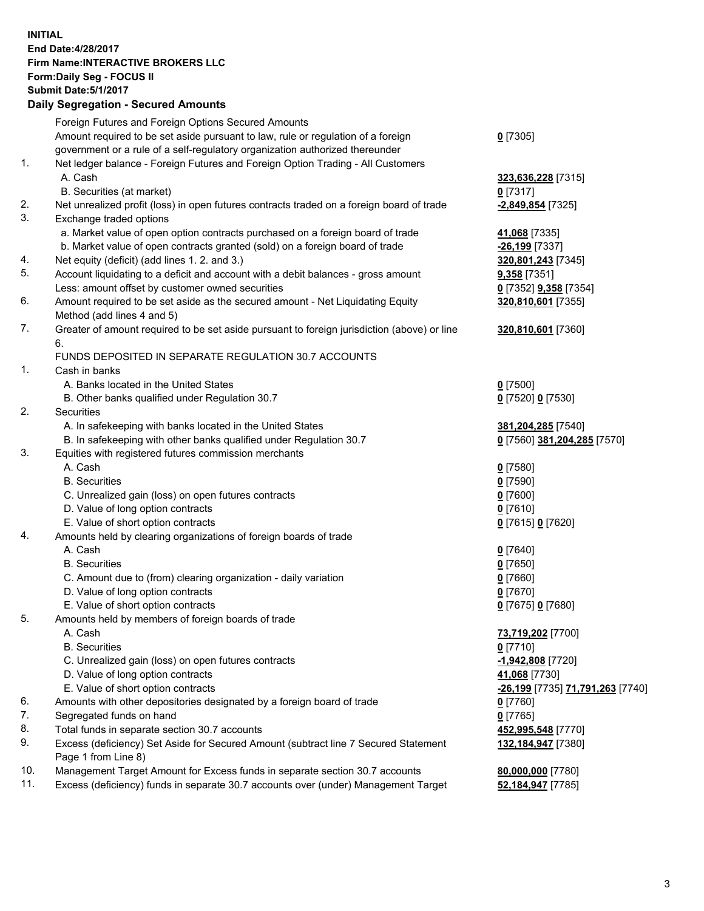**INITIAL End Date:4/28/2017 Firm Name:INTERACTIVE BROKERS LLC Form:Daily Seg - FOCUS II Submit Date:5/1/2017 Daily Segregation - Secured Amounts**

## Foreign Futures and Foreign Options Secured Amounts Amount required to be set aside pursuant to law, rule or regulation of a foreign government or a rule of a self-regulatory organization authorized thereunder **0** [7305] 1. Net ledger balance - Foreign Futures and Foreign Option Trading - All Customers A. Cash **323,636,228** [7315] B. Securities (at market) **0** [7317] 2. Net unrealized profit (loss) in open futures contracts traded on a foreign board of trade **-2,849,854** [7325] 3. Exchange traded options a. Market value of open option contracts purchased on a foreign board of trade **41,068** [7335] b. Market value of open contracts granted (sold) on a foreign board of trade **-26,199** [7337] 4. Net equity (deficit) (add lines 1. 2. and 3.) **320,801,243** [7345] 5. Account liquidating to a deficit and account with a debit balances - gross amount **9,358** [7351] Less: amount offset by customer owned securities **0** [7352] **9,358** [7354] 6. Amount required to be set aside as the secured amount - Net Liquidating Equity Method (add lines 4 and 5) **320,810,601** [7355] 7. Greater of amount required to be set aside pursuant to foreign jurisdiction (above) or line 6. **320,810,601** [7360] FUNDS DEPOSITED IN SEPARATE REGULATION 30.7 ACCOUNTS 1. Cash in banks A. Banks located in the United States **0** [7500] B. Other banks qualified under Regulation 30.7 **0** [7520] **0** [7530] 2. Securities A. In safekeeping with banks located in the United States **381,204,285** [7540] B. In safekeeping with other banks qualified under Regulation 30.7 **0** [7560] **381,204,285** [7570] 3. Equities with registered futures commission merchants A. Cash **0** [7580] B. Securities **0** [7590] C. Unrealized gain (loss) on open futures contracts **0** [7600] D. Value of long option contracts **0** [7610] E. Value of short option contracts **0** [7615] **0** [7620] 4. Amounts held by clearing organizations of foreign boards of trade A. Cash **0** [7640] B. Securities **0** [7650] C. Amount due to (from) clearing organization - daily variation **0** [7660] D. Value of long option contracts **0** [7670] E. Value of short option contracts **0** [7675] **0** [7680] 5. Amounts held by members of foreign boards of trade A. Cash **73,719,202** [7700] B. Securities **0** [7710] C. Unrealized gain (loss) on open futures contracts **-1,942,808** [7720] D. Value of long option contracts **41,068** [7730] E. Value of short option contracts **-26,199** [7735] **71,791,263** [7740] 6. Amounts with other depositories designated by a foreign board of trade **0** [7760] 7. Segregated funds on hand **0** [7765] 8. Total funds in separate section 30.7 accounts **452,995,548** [7770] 9. Excess (deficiency) Set Aside for Secured Amount (subtract line 7 Secured Statement Page 1 from Line 8) **132,184,947** [7380] 10. Management Target Amount for Excess funds in separate section 30.7 accounts **80,000,000** [7780] 11. Excess (deficiency) funds in separate 30.7 accounts over (under) Management Target **52,184,947** [7785]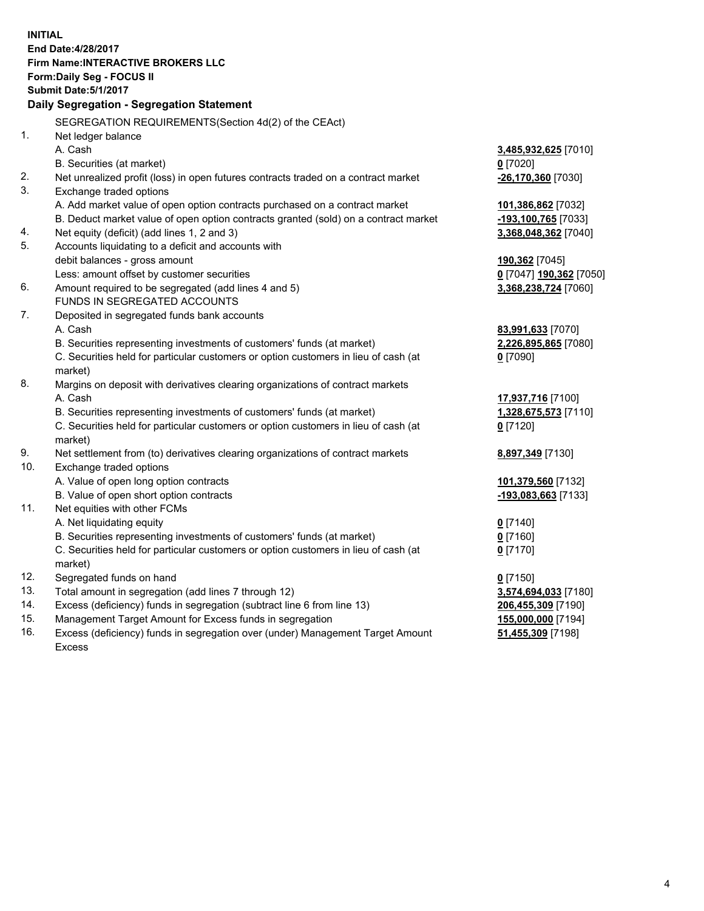**INITIAL End Date:4/28/2017 Firm Name:INTERACTIVE BROKERS LLC Form:Daily Seg - FOCUS II Submit Date:5/1/2017 Daily Segregation - Segregation Statement** SEGREGATION REQUIREMENTS(Section 4d(2) of the CEAct) 1. Net ledger balance A. Cash **3,485,932,625** [7010] B. Securities (at market) **0** [7020] 2. Net unrealized profit (loss) in open futures contracts traded on a contract market **-26,170,360** [7030] 3. Exchange traded options A. Add market value of open option contracts purchased on a contract market **101,386,862** [7032] B. Deduct market value of open option contracts granted (sold) on a contract market **-193,100,765** [7033] 4. Net equity (deficit) (add lines 1, 2 and 3) **3,368,048,362** [7040] 5. Accounts liquidating to a deficit and accounts with debit balances - gross amount **190,362** [7045] Less: amount offset by customer securities **0** [7047] **190,362** [7050] 6. Amount required to be segregated (add lines 4 and 5) **3,368,238,724** [7060] FUNDS IN SEGREGATED ACCOUNTS 7. Deposited in segregated funds bank accounts A. Cash **83,991,633** [7070] B. Securities representing investments of customers' funds (at market) **2,226,895,865** [7080] C. Securities held for particular customers or option customers in lieu of cash (at market) **0** [7090] 8. Margins on deposit with derivatives clearing organizations of contract markets A. Cash **17,937,716** [7100] B. Securities representing investments of customers' funds (at market) **1,328,675,573** [7110] C. Securities held for particular customers or option customers in lieu of cash (at market) **0** [7120] 9. Net settlement from (to) derivatives clearing organizations of contract markets **8,897,349** [7130] 10. Exchange traded options A. Value of open long option contracts **101,379,560** [7132] B. Value of open short option contracts **-193,083,663** [7133] 11. Net equities with other FCMs A. Net liquidating equity **0** [7140] B. Securities representing investments of customers' funds (at market) **0** [7160] C. Securities held for particular customers or option customers in lieu of cash (at market) **0** [7170] 12. Segregated funds on hand **0** [7150] 13. Total amount in segregation (add lines 7 through 12) **3,574,694,033** [7180] 14. Excess (deficiency) funds in segregation (subtract line 6 from line 13) **206,455,309** [7190] 15. Management Target Amount for Excess funds in segregation **155,000,000** [7194] **51,455,309** [7198]

16. Excess (deficiency) funds in segregation over (under) Management Target Amount Excess